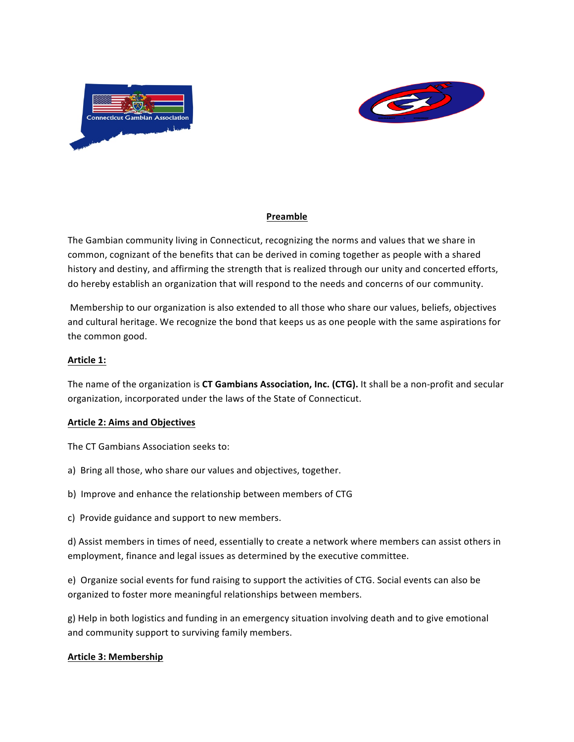



# **Preamble**

The Gambian community living in Connecticut, recognizing the norms and values that we share in common, cognizant of the benefits that can be derived in coming together as people with a shared history and destiny, and affirming the strength that is realized through our unity and concerted efforts, do hereby establish an organization that will respond to the needs and concerns of our community.

Membership to our organization is also extended to all those who share our values, beliefs, objectives and cultural heritage. We recognize the bond that keeps us as one people with the same aspirations for the common good.

### Article 1:

The name of the organization is CT Gambians Association, Inc. (CTG). It shall be a non-profit and secular organization, incorporated under the laws of the State of Connecticut.

#### **Article 2: Aims and Objectives**

The CT Gambians Association seeks to:

- a) Bring all those, who share our values and objectives, together.
- b) Improve and enhance the relationship between members of CTG
- c) Provide guidance and support to new members.

d) Assist members in times of need, essentially to create a network where members can assist others in employment, finance and legal issues as determined by the executive committee.

e) Organize social events for fund raising to support the activities of CTG. Social events can also be organized to foster more meaningful relationships between members.

g) Help in both logistics and funding in an emergency situation involving death and to give emotional and community support to surviving family members.

#### **Article 3: Membership**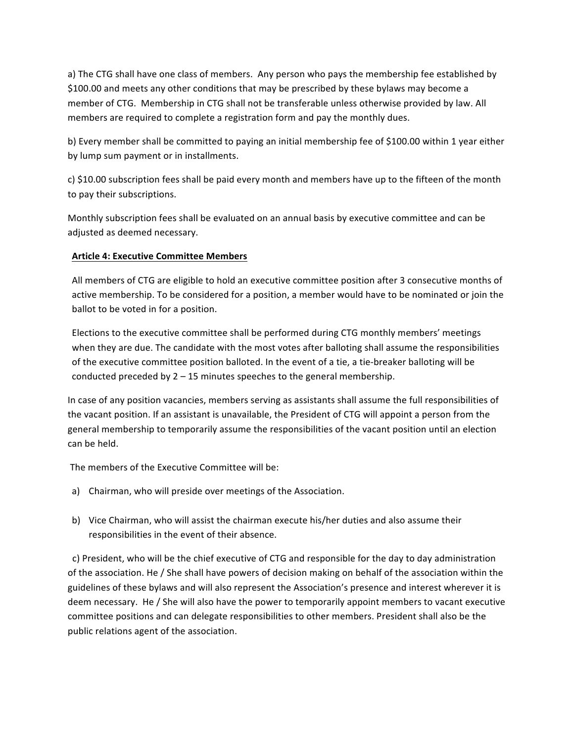a) The CTG shall have one class of members. Any person who pays the membership fee established by \$100.00 and meets any other conditions that may be prescribed by these bylaws may become a member of CTG. Membership in CTG shall not be transferable unless otherwise provided by law. All members are required to complete a registration form and pay the monthly dues.

b) Every member shall be committed to paying an initial membership fee of \$100.00 within 1 year either by lump sum payment or in installments.

c) \$10.00 subscription fees shall be paid every month and members have up to the fifteen of the month to pay their subscriptions.

Monthly subscription fees shall be evaluated on an annual basis by executive committee and can be adjusted as deemed necessary.

### **Article 4: Executive Committee Members**

All members of CTG are eligible to hold an executive committee position after 3 consecutive months of active membership. To be considered for a position, a member would have to be nominated or join the ballot to be voted in for a position.

Elections to the executive committee shall be performed during CTG monthly members' meetings when they are due. The candidate with the most votes after balloting shall assume the responsibilities of the executive committee position balloted. In the event of a tie, a tie-breaker balloting will be conducted preceded by  $2 - 15$  minutes speeches to the general membership.

In case of any position vacancies, members serving as assistants shall assume the full responsibilities of the vacant position. If an assistant is unavailable, the President of CTG will appoint a person from the general membership to temporarily assume the responsibilities of the vacant position until an election can be held.

The members of the Executive Committee will be:

- a) Chairman, who will preside over meetings of the Association.
- b) Vice Chairman, who will assist the chairman execute his/her duties and also assume their responsibilities in the event of their absence.

c) President, who will be the chief executive of CTG and responsible for the day to day administration of the association. He / She shall have powers of decision making on behalf of the association within the guidelines of these bylaws and will also represent the Association's presence and interest wherever it is deem necessary. He / She will also have the power to temporarily appoint members to vacant executive committee positions and can delegate responsibilities to other members. President shall also be the public relations agent of the association.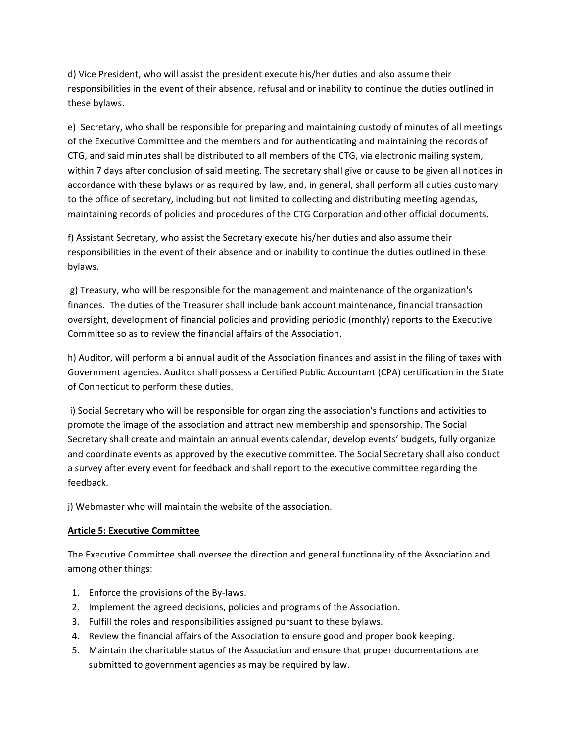d) Vice President, who will assist the president execute his/her duties and also assume their responsibilities in the event of their absence, refusal and or inability to continue the duties outlined in these bylaws.

e) Secretary, who shall be responsible for preparing and maintaining custody of minutes of all meetings of the Executive Committee and the members and for authenticating and maintaining the records of CTG, and said minutes shall be distributed to all members of the CTG, via electronic mailing system, within 7 days after conclusion of said meeting. The secretary shall give or cause to be given all notices in accordance with these bylaws or as required by law, and, in general, shall perform all duties customary to the office of secretary, including but not limited to collecting and distributing meeting agendas, maintaining records of policies and procedures of the CTG Corporation and other official documents.

f) Assistant Secretary, who assist the Secretary execute his/her duties and also assume their responsibilities in the event of their absence and or inability to continue the duties outlined in these bylaws. 

g) Treasury, who will be responsible for the management and maintenance of the organization's finances. The duties of the Treasurer shall include bank account maintenance, financial transaction oversight, development of financial policies and providing periodic (monthly) reports to the Executive Committee so as to review the financial affairs of the Association.

h) Auditor, will perform a bi annual audit of the Association finances and assist in the filing of taxes with Government agencies. Auditor shall possess a Certified Public Accountant (CPA) certification in the State of Connecticut to perform these duties.

i) Social Secretary who will be responsible for organizing the association's functions and activities to promote the image of the association and attract new membership and sponsorship. The Social Secretary shall create and maintain an annual events calendar, develop events' budgets, fully organize and coordinate events as approved by the executive committee. The Social Secretary shall also conduct a survey after every event for feedback and shall report to the executive committee regarding the feedback. 

j) Webmaster who will maintain the website of the association.

# **Article 5: Executive Committee**

The Executive Committee shall oversee the direction and general functionality of the Association and among other things:

- 1. Enforce the provisions of the By-laws.
- 2. Implement the agreed decisions, policies and programs of the Association.
- 3. Fulfill the roles and responsibilities assigned pursuant to these bylaws.
- 4. Review the financial affairs of the Association to ensure good and proper book keeping.
- 5. Maintain the charitable status of the Association and ensure that proper documentations are submitted to government agencies as may be required by law.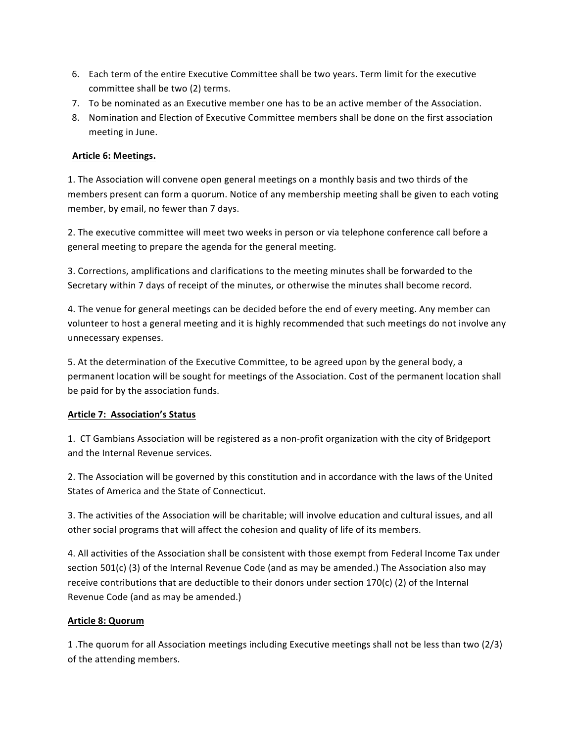- 6. Each term of the entire Executive Committee shall be two years. Term limit for the executive committee shall be two (2) terms.
- 7. To be nominated as an Executive member one has to be an active member of the Association.
- 8. Nomination and Election of Executive Committee members shall be done on the first association meeting in June.

### **Article 6: Meetings.**

1. The Association will convene open general meetings on a monthly basis and two thirds of the members present can form a quorum. Notice of any membership meeting shall be given to each voting member, by email, no fewer than 7 days.

2. The executive committee will meet two weeks in person or via telephone conference call before a general meeting to prepare the agenda for the general meeting.

3. Corrections, amplifications and clarifications to the meeting minutes shall be forwarded to the Secretary within 7 days of receipt of the minutes, or otherwise the minutes shall become record.

4. The venue for general meetings can be decided before the end of every meeting. Any member can volunteer to host a general meeting and it is highly recommended that such meetings do not involve any unnecessary expenses.

5. At the determination of the Executive Committee, to be agreed upon by the general body, a permanent location will be sought for meetings of the Association. Cost of the permanent location shall be paid for by the association funds.

# **Article 7: Association's Status**

1. CT Gambians Association will be registered as a non-profit organization with the city of Bridgeport and the Internal Revenue services.

2. The Association will be governed by this constitution and in accordance with the laws of the United States of America and the State of Connecticut.

3. The activities of the Association will be charitable; will involve education and cultural issues, and all other social programs that will affect the cohesion and quality of life of its members.

4. All activities of the Association shall be consistent with those exempt from Federal Income Tax under section  $501(c)$  (3) of the Internal Revenue Code (and as may be amended.) The Association also may receive contributions that are deductible to their donors under section 170(c) (2) of the Internal Revenue Code (and as may be amended.)

# **Article 8: Quorum**

1 .The quorum for all Association meetings including Executive meetings shall not be less than two (2/3) of the attending members.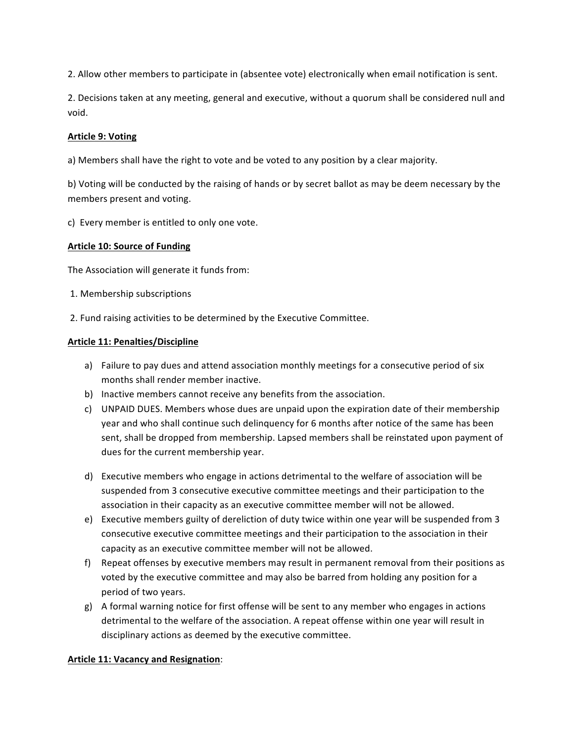2. Allow other members to participate in (absentee vote) electronically when email notification is sent.

2. Decisions taken at any meeting, general and executive, without a quorum shall be considered null and void.

### **Article 9: Voting**

a) Members shall have the right to vote and be voted to any position by a clear majority.

b) Voting will be conducted by the raising of hands or by secret ballot as may be deem necessary by the members present and voting.

c) Every member is entitled to only one vote.

#### **Article 10: Source of Funding**

The Association will generate it funds from:

- 1. Membership subscriptions
- 2. Fund raising activities to be determined by the Executive Committee.

#### **Article 11: Penalties/Discipline**

- a) Failure to pay dues and attend association monthly meetings for a consecutive period of six months shall render member inactive.
- b) Inactive members cannot receive any benefits from the association.
- c) UNPAID DUES. Members whose dues are unpaid upon the expiration date of their membership year and who shall continue such delinguency for 6 months after notice of the same has been sent, shall be dropped from membership. Lapsed members shall be reinstated upon payment of dues for the current membership year.
- d) Executive members who engage in actions detrimental to the welfare of association will be suspended from 3 consecutive executive committee meetings and their participation to the association in their capacity as an executive committee member will not be allowed.
- e) Executive members guilty of dereliction of duty twice within one year will be suspended from 3 consecutive executive committee meetings and their participation to the association in their capacity as an executive committee member will not be allowed.
- f) Repeat offenses by executive members may result in permanent removal from their positions as voted by the executive committee and may also be barred from holding any position for a period of two years.
- g) A formal warning notice for first offense will be sent to any member who engages in actions detrimental to the welfare of the association. A repeat offense within one year will result in disciplinary actions as deemed by the executive committee.

#### **Article 11: Vacancy and Resignation:**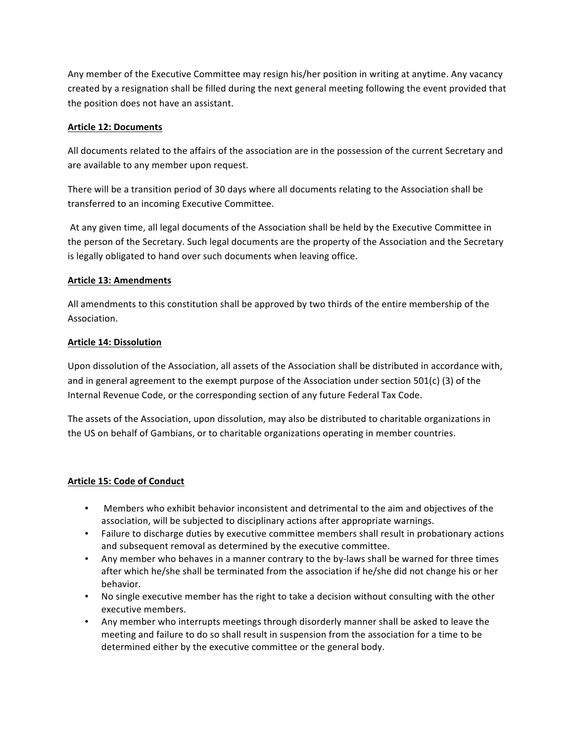Any member of the Executive Committee may resign his/her position in writing at anytime. Any vacancy created by a resignation shall be filled during the next general meeting following the event provided that the position does not have an assistant.

### **Article 12: Documents**

All documents related to the affairs of the association are in the possession of the current Secretary and are available to any member upon request.

There will be a transition period of 30 days where all documents relating to the Association shall be transferred to an incoming Executive Committee.

At any given time, all legal documents of the Association shall be held by the Executive Committee in the person of the Secretary. Such legal documents are the property of the Association and the Secretary is legally obligated to hand over such documents when leaving office.

# **Article 13: Amendments**

All amendments to this constitution shall be approved by two thirds of the entire membership of the Association. 

### **Article 14: Dissolution**

Upon dissolution of the Association, all assets of the Association shall be distributed in accordance with, and in general agreement to the exempt purpose of the Association under section 501(c) (3) of the Internal Revenue Code, or the corresponding section of any future Federal Tax Code.

The assets of the Association, upon dissolution, may also be distributed to charitable organizations in the US on behalf of Gambians, or to charitable organizations operating in member countries.

# **Article 15: Code of Conduct**

- Members who exhibit behavior inconsistent and detrimental to the aim and objectives of the association, will be subjected to disciplinary actions after appropriate warnings.
- Failure to discharge duties by executive committee members shall result in probationary actions and subsequent removal as determined by the executive committee.
- Any member who behaves in a manner contrary to the by-laws shall be warned for three times after which he/she shall be terminated from the association if he/she did not change his or her behavior.
- No single executive member has the right to take a decision without consulting with the other executive members.
- Any member who interrupts meetings through disorderly manner shall be asked to leave the meeting and failure to do so shall result in suspension from the association for a time to be determined either by the executive committee or the general body.